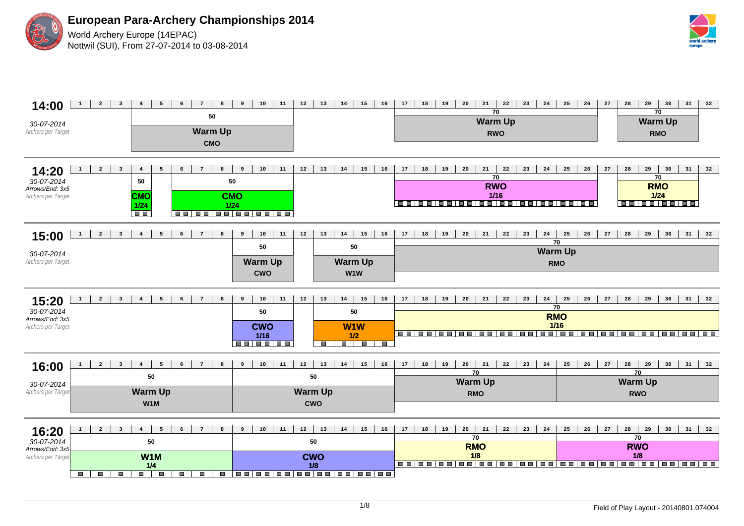

**European Para-Archery Championships 2014** World Archery Europe (14EPAC) Nottwil (SUI), From 27-07-2014 to 03-08-2014



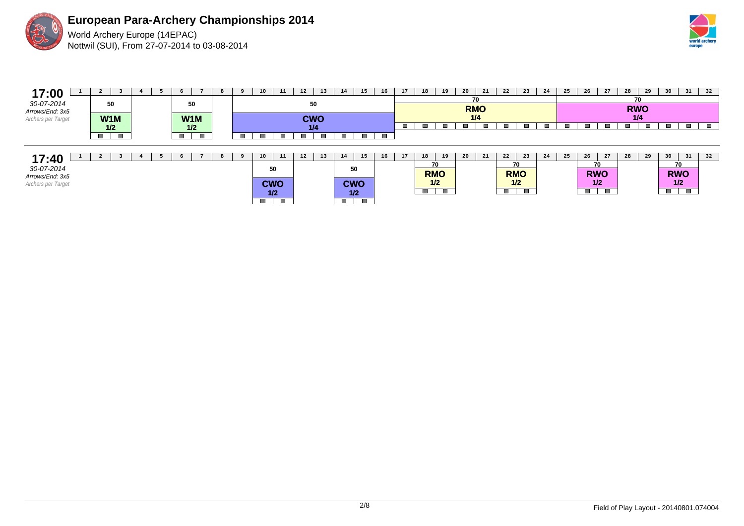

**European Para-Archery Championships 2014** World Archery Europe (14EPAC) Nottwil (SUI), From 27-07-2014 to 03-08-2014

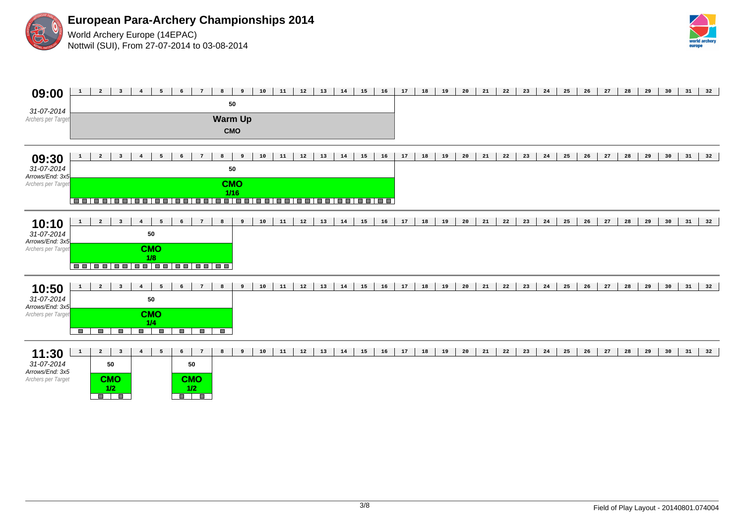

**European Para-Archery Championships 2014** World Archery Europe (14EPAC) Nottwil (SUI), From 27-07-2014 to 03-08-2014



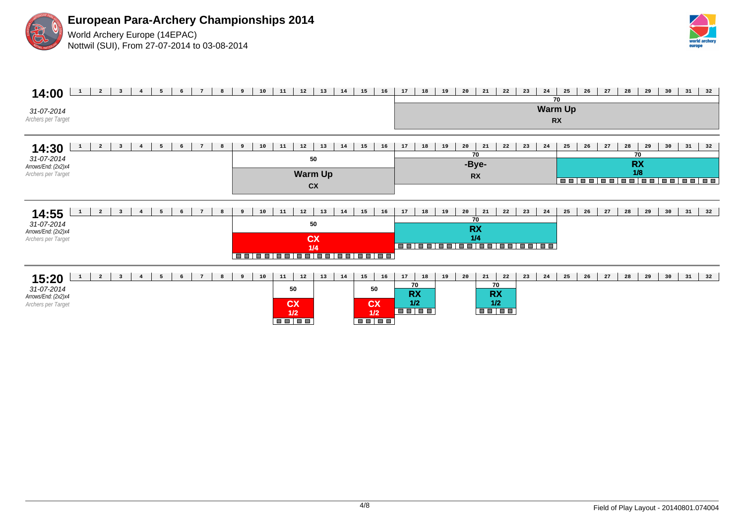



## **14:00** 1 2 3 4 5 6 7 8 9 10 11 12 13 14 15 16 17 18 19 20 21 22 23 24 25 26 27 28 29 30 31 32 31-07-2014 Archers per Target **70 Warm Up RX 14:30 1 2 3 4 5 6 7 8** 31-07-2014 Arrows/End: (2x2)x4 Archers per Target 9 | 10 | 11 | 12 | 13 | 14 | 15 | 16 | 17 | 18 | 19 | 20 | 21 | 22 | 23 | 24 | 25 | 26 | 27 | 28 | 29 | 30 | 31 | 32 **70 RX 1/8 70 -Bye-RX 50 Warm Up CX 14:55** 31-07-2014 Arrows/End: (2x2)x4 Archers per Target 1 2 3 4 5 6 7 8 9 10 11 12 13 14 15 16 17 18 19 20 21 22 23 24 25 26 27 28 29 30 31 32 **50 CX 1/4 70 RX 1/4 15:20** 31-07-2014 Arrows/End: (2x2)x4 Archers per Target 1 2 3 4 5 6 7 8 9 10 11 12 13 14 15 16 17 18 19 20 21 22 23 24 25 26 27 28 29 30 31 32 **50 CX 1/2 50 CX 1/2 70 RX 1/2 70 RX 1/2**<br>**THEFE**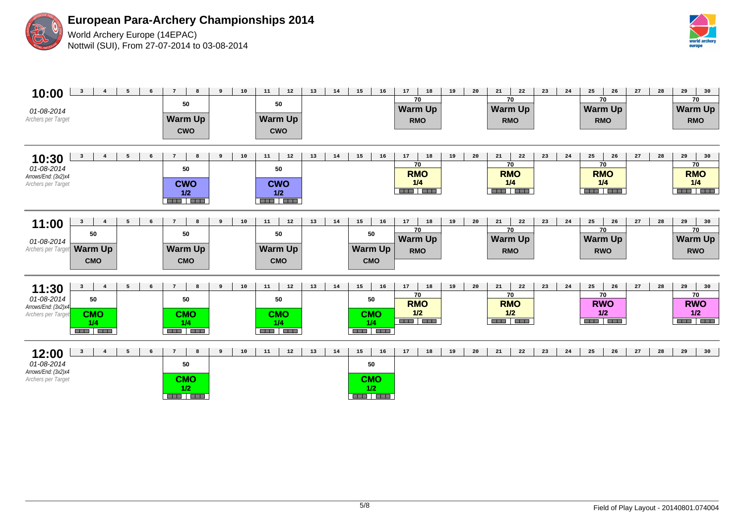

**European Para-Archery Championships 2014**

World Archery Europe (14EPAC) Nottwil (SUI), From 27-07-2014 to 03-08-2014



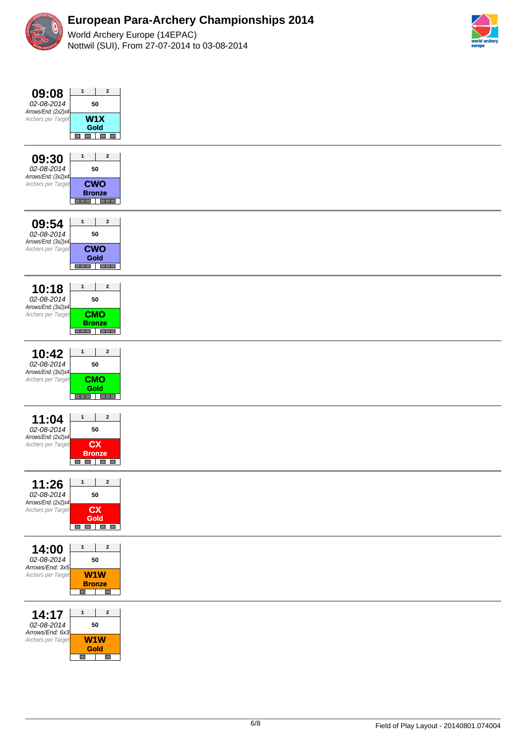



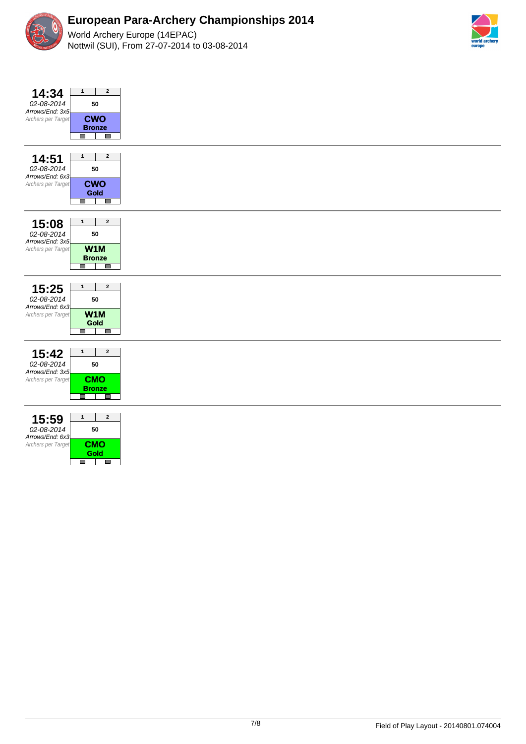



| $\mathbf 1$<br>14:34<br>02-08-2014<br>Arrows/End: 3x5<br>Archers per Target<br>$\Box$   | $\mathbf{2}$<br>50<br><b>CWO</b><br><b>Bronze</b><br>П            |  |
|-----------------------------------------------------------------------------------------|-------------------------------------------------------------------|--|
| $\mathbf 1$<br>14:51<br>02-08-2014<br>Arrows/End: 6x3<br>Archers per Target<br><b>I</b> | $\mathbf{2}$<br>50<br><b>CWO</b><br>Gold<br>I                     |  |
| $\mathbf{1}$<br>15:08<br>02-08-2014<br>Arrows/End: 3x5<br>Archers per Target<br>П       | $\mathbf{2}$<br>50<br>W <sub>1</sub> M<br><b>Bronze</b><br>$\Box$ |  |
| 15:25<br>$\mathbf 1$<br>02-08-2014<br>Arrows/End: 6x3<br>Archers per Target<br>$\Box$   | $\mathbf{2}$<br>50<br>W1M<br>Gold<br>$\Box$                       |  |
| $\mathbf{1}$<br>15:42<br>02-08-2014<br>Arrows/End: 3x5<br>Archers per Target<br>$\Box$  | $\mathbf{2}$<br>50<br><b>CMO</b><br><b>Bronze</b><br>П            |  |
| $\mathbf 1$<br>15:59<br>02-08-2014<br>Arrows/End: 6x3<br>Archers per Target<br>$\Box$   | $\mathbf{2}$<br>50<br><b>CMO</b><br><b>Gold</b><br>$\Box$         |  |